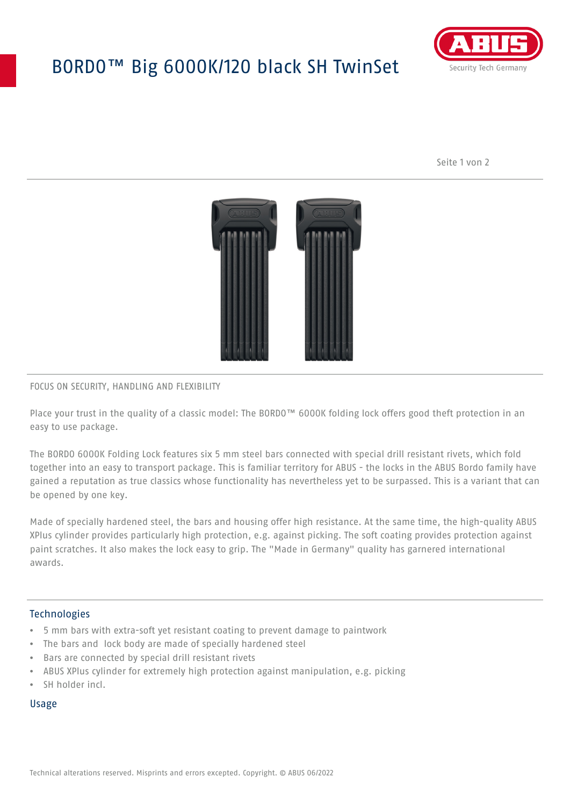# BORDO™ Big 6000K/120 black SH TwinSet



Seite 1 von 2



## FOCUS ON SECURITY, HANDLING AND FLEXIBILITY

Place your trust in the quality of a classic model: The BORDO™ 6000K folding lock offers good theft protection in an easy to use package.

The BORDO 6000K Folding Lock features six 5 mm steel bars connected with special drill resistant rivets, which fold together into an easy to transport package. This is familiar territory for ABUS - the locks in the ABUS Bordo family have gained a reputation as true classics whose functionality has nevertheless yet to be surpassed. This is a variant that can be opened by one key.

Made of specially hardened steel, the bars and housing offer high resistance. At the same time, the high-quality ABUS XPlus cylinder provides particularly high protection, e.g. against picking. The soft coating provides protection against paint scratches. It also makes the lock easy to grip. The "Made in Germany" quality has garnered international awards.

### **Technologies**

- 5 mm bars with extra-soft yet resistant coating to prevent damage to paintwork
- The bars and lock body are made of specially hardened steel
- Bars are connected by special drill resistant rivets
- ABUS XPlus cylinder for extremely high protection against manipulation, e.g. picking
- SH holder incl.

#### Usage